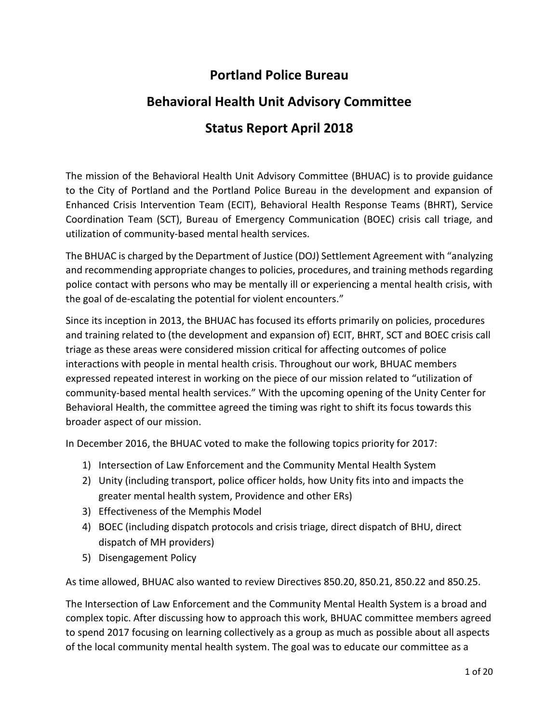# **Portland Police Bureau**

# **Behavioral Health Unit Advisory Committee Status Report April 2018**

The mission of the Behavioral Health Unit Advisory Committee (BHUAC) is to provide guidance to the City of Portland and the Portland Police Bureau in the development and expansion of Enhanced Crisis Intervention Team (ECIT), Behavioral Health Response Teams (BHRT), Service Coordination Team (SCT), Bureau of Emergency Communication (BOEC) crisis call triage, and utilization of community-based mental health services.

The BHUAC is charged by the Department of Justice (DOJ) Settlement Agreement with "analyzing and recommending appropriate changes to policies, procedures, and training methods regarding police contact with persons who may be mentally ill or experiencing a mental health crisis, with the goal of de-escalating the potential for violent encounters."

Since its inception in 2013, the BHUAC has focused its efforts primarily on policies, procedures and training related to (the development and expansion of) ECIT, BHRT, SCT and BOEC crisis call triage as these areas were considered mission critical for affecting outcomes of police interactions with people in mental health crisis. Throughout our work, BHUAC members expressed repeated interest in working on the piece of our mission related to "utilization of community-based mental health services." With the upcoming opening of the Unity Center for Behavioral Health, the committee agreed the timing was right to shift its focus towards this broader aspect of our mission.

In December 2016, the BHUAC voted to make the following topics priority for 2017:

- 1) Intersection of Law Enforcement and the Community Mental Health System
- 2) Unity (including transport, police officer holds, how Unity fits into and impacts the greater mental health system, Providence and other ERs)
- 3) Effectiveness of the Memphis Model
- 4) BOEC (including dispatch protocols and crisis triage, direct dispatch of BHU, direct dispatch of MH providers)
- 5) Disengagement Policy

As time allowed, BHUAC also wanted to review Directives 850.20, 850.21, 850.22 and 850.25.

The Intersection of Law Enforcement and the Community Mental Health System is a broad and complex topic. After discussing how to approach this work, BHUAC committee members agreed to spend 2017 focusing on learning collectively as a group as much as possible about all aspects of the local community mental health system. The goal was to educate our committee as a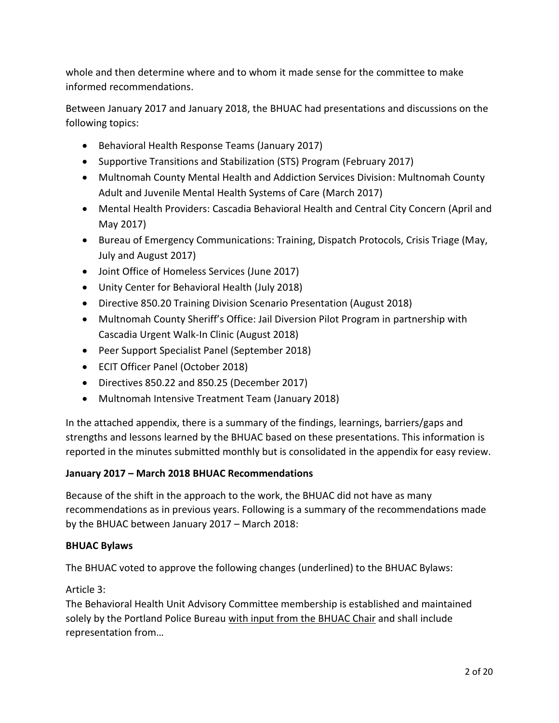whole and then determine where and to whom it made sense for the committee to make informed recommendations.

Between January 2017 and January 2018, the BHUAC had presentations and discussions on the following topics:

- Behavioral Health Response Teams (January 2017)
- Supportive Transitions and Stabilization (STS) Program (February 2017)
- Multnomah County Mental Health and Addiction Services Division: Multnomah County Adult and Juvenile Mental Health Systems of Care (March 2017)
- Mental Health Providers: Cascadia Behavioral Health and Central City Concern (April and May 2017)
- Bureau of Emergency Communications: Training, Dispatch Protocols, Crisis Triage (May, July and August 2017)
- Joint Office of Homeless Services (June 2017)
- Unity Center for Behavioral Health (July 2018)
- Directive 850.20 Training Division Scenario Presentation (August 2018)
- Multnomah County Sheriff's Office: Jail Diversion Pilot Program in partnership with Cascadia Urgent Walk-In Clinic (August 2018)
- Peer Support Specialist Panel (September 2018)
- ECIT Officer Panel (October 2018)
- Directives 850.22 and 850.25 (December 2017)
- Multnomah Intensive Treatment Team (January 2018)

In the attached appendix, there is a summary of the findings, learnings, barriers/gaps and strengths and lessons learned by the BHUAC based on these presentations. This information is reported in the minutes submitted monthly but is consolidated in the appendix for easy review.

### **January 2017 – March 2018 BHUAC Recommendations**

Because of the shift in the approach to the work, the BHUAC did not have as many recommendations as in previous years. Following is a summary of the recommendations made by the BHUAC between January 2017 – March 2018:

### **BHUAC Bylaws**

The BHUAC voted to approve the following changes (underlined) to the BHUAC Bylaws:

### Article 3:

The Behavioral Health Unit Advisory Committee membership is established and maintained solely by the Portland Police Bureau with input from the BHUAC Chair and shall include representation from…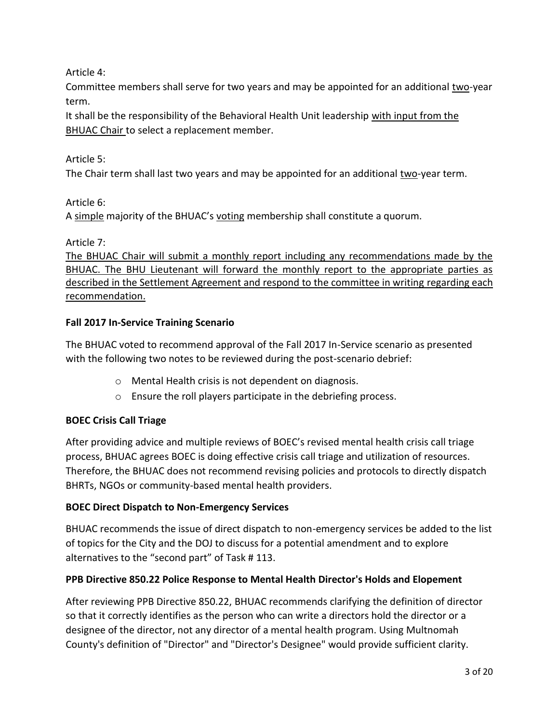Article 4:

Committee members shall serve for two years and may be appointed for an additional two-year term.

It shall be the responsibility of the Behavioral Health Unit leadership with input from the BHUAC Chair to select a replacement member.

### Article 5:

The Chair term shall last two years and may be appointed for an additional two-year term.

Article 6:

A simple majority of the BHUAC's voting membership shall constitute a quorum.

Article 7:

The BHUAC Chair will submit a monthly report including any recommendations made by the BHUAC. The BHU Lieutenant will forward the monthly report to the appropriate parties as described in the Settlement Agreement and respond to the committee in writing regarding each recommendation.

### **Fall 2017 In-Service Training Scenario**

The BHUAC voted to recommend approval of the Fall 2017 In-Service scenario as presented with the following two notes to be reviewed during the post-scenario debrief:

- o Mental Health crisis is not dependent on diagnosis.
- o Ensure the roll players participate in the debriefing process.

### **BOEC Crisis Call Triage**

After providing advice and multiple reviews of BOEC's revised mental health crisis call triage process, BHUAC agrees BOEC is doing effective crisis call triage and utilization of resources. Therefore, the BHUAC does not recommend revising policies and protocols to directly dispatch BHRTs, NGOs or community-based mental health providers.

### **BOEC Direct Dispatch to Non-Emergency Services**

BHUAC recommends the issue of direct dispatch to non-emergency services be added to the list of topics for the City and the DOJ to discuss for a potential amendment and to explore alternatives to the "second part" of Task # 113.

### **PPB Directive 850.22 Police Response to Mental Health Director's Holds and Elopement**

After reviewing PPB Directive 850.22, BHUAC recommends clarifying the definition of director so that it correctly identifies as the person who can write a directors hold the director or a designee of the director, not any director of a mental health program. Using Multnomah County's definition of "Director" and "Director's Designee" would provide sufficient clarity.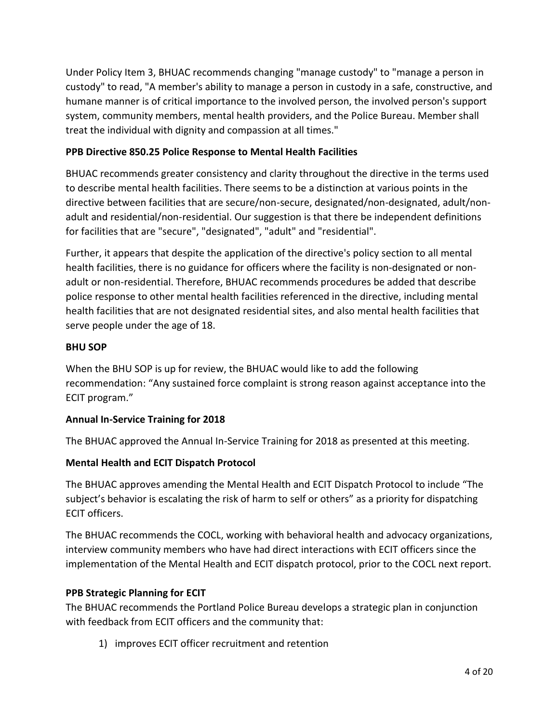Under Policy Item 3, BHUAC recommends changing "manage custody" to "manage a person in custody" to read, "A member's ability to manage a person in custody in a safe, constructive, and humane manner is of critical importance to the involved person, the involved person's support system, community members, mental health providers, and the Police Bureau. Member shall treat the individual with dignity and compassion at all times."

### **PPB Directive 850.25 Police Response to Mental Health Facilities**

BHUAC recommends greater consistency and clarity throughout the directive in the terms used to describe mental health facilities. There seems to be a distinction at various points in the directive between facilities that are secure/non-secure, designated/non-designated, adult/nonadult and residential/non-residential. Our suggestion is that there be independent definitions for facilities that are "secure", "designated", "adult" and "residential".

Further, it appears that despite the application of the directive's policy section to all mental health facilities, there is no guidance for officers where the facility is non-designated or nonadult or non-residential. Therefore, BHUAC recommends procedures be added that describe police response to other mental health facilities referenced in the directive, including mental health facilities that are not designated residential sites, and also mental health facilities that serve people under the age of 18.

### **BHU SOP**

When the BHU SOP is up for review, the BHUAC would like to add the following recommendation: "Any sustained force complaint is strong reason against acceptance into the ECIT program."

### **Annual In-Service Training for 2018**

The BHUAC approved the Annual In-Service Training for 2018 as presented at this meeting.

### **Mental Health and ECIT Dispatch Protocol**

The BHUAC approves amending the Mental Health and ECIT Dispatch Protocol to include "The subject's behavior is escalating the risk of harm to self or others" as a priority for dispatching ECIT officers.

The BHUAC recommends the COCL, working with behavioral health and advocacy organizations, interview community members who have had direct interactions with ECIT officers since the implementation of the Mental Health and ECIT dispatch protocol, prior to the COCL next report.

### **PPB Strategic Planning for ECIT**

The BHUAC recommends the Portland Police Bureau develops a strategic plan in conjunction with feedback from ECIT officers and the community that:

1) improves ECIT officer recruitment and retention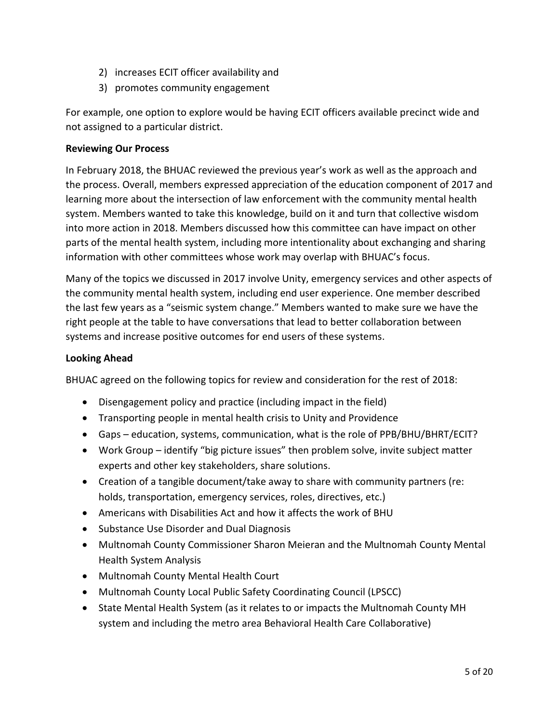- 2) increases ECIT officer availability and
- 3) promotes community engagement

For example, one option to explore would be having ECIT officers available precinct wide and not assigned to a particular district.

### **Reviewing Our Process**

In February 2018, the BHUAC reviewed the previous year's work as well as the approach and the process. Overall, members expressed appreciation of the education component of 2017 and learning more about the intersection of law enforcement with the community mental health system. Members wanted to take this knowledge, build on it and turn that collective wisdom into more action in 2018. Members discussed how this committee can have impact on other parts of the mental health system, including more intentionality about exchanging and sharing information with other committees whose work may overlap with BHUAC's focus.

Many of the topics we discussed in 2017 involve Unity, emergency services and other aspects of the community mental health system, including end user experience. One member described the last few years as a "seismic system change." Members wanted to make sure we have the right people at the table to have conversations that lead to better collaboration between systems and increase positive outcomes for end users of these systems.

### **Looking Ahead**

BHUAC agreed on the following topics for review and consideration for the rest of 2018:

- Disengagement policy and practice (including impact in the field)
- Transporting people in mental health crisis to Unity and Providence
- Gaps education, systems, communication, what is the role of PPB/BHU/BHRT/ECIT?
- Work Group identify "big picture issues" then problem solve, invite subject matter experts and other key stakeholders, share solutions.
- Creation of a tangible document/take away to share with community partners (re: holds, transportation, emergency services, roles, directives, etc.)
- Americans with Disabilities Act and how it affects the work of BHU
- Substance Use Disorder and Dual Diagnosis
- Multnomah County Commissioner Sharon Meieran and the Multnomah County Mental Health System Analysis
- Multnomah County Mental Health Court
- Multnomah County Local Public Safety Coordinating Council (LPSCC)
- State Mental Health System (as it relates to or impacts the Multnomah County MH system and including the metro area Behavioral Health Care Collaborative)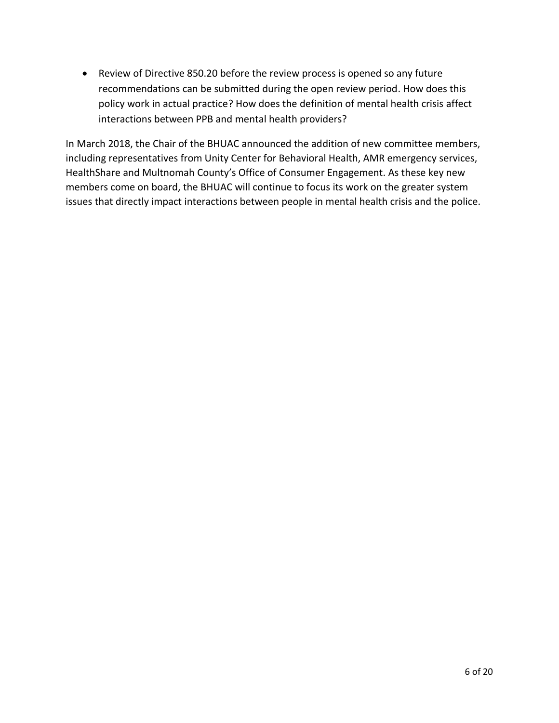Review of Directive 850.20 before the review process is opened so any future recommendations can be submitted during the open review period. How does this policy work in actual practice? How does the definition of mental health crisis affect interactions between PPB and mental health providers?

In March 2018, the Chair of the BHUAC announced the addition of new committee members, including representatives from Unity Center for Behavioral Health, AMR emergency services, HealthShare and Multnomah County's Office of Consumer Engagement. As these key new members come on board, the BHUAC will continue to focus its work on the greater system issues that directly impact interactions between people in mental health crisis and the police.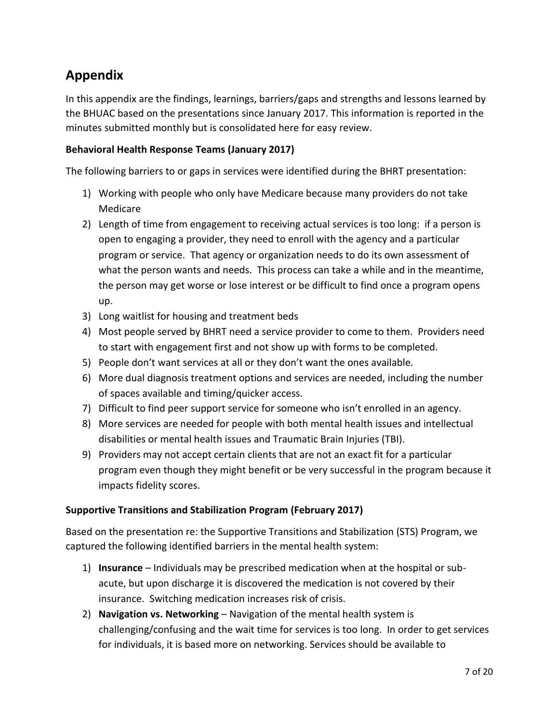# **Appendix**

In this appendix are the findings, learnings, barriers/gaps and strengths and lessons learned by the BHUAC based on the presentations since January 2017. This information is reported in the minutes submitted monthly but is consolidated here for easy review.

## **Behavioral Health Response Teams (January 2017)**

The following barriers to or gaps in services were identified during the BHRT presentation:

- 1) Working with people who only have Medicare because many providers do not take Medicare
- 2) Length of time from engagement to receiving actual services is too long: if a person is open to engaging a provider, they need to enroll with the agency and a particular program or service. That agency or organization needs to do its own assessment of what the person wants and needs. This process can take a while and in the meantime, the person may get worse or lose interest or be difficult to find once a program opens up.
- 3) Long waitlist for housing and treatment beds
- 4) Most people served by BHRT need a service provider to come to them. Providers need to start with engagement first and not show up with forms to be completed.
- 5) People don't want services at all or they don't want the ones available.
- 6) More dual diagnosis treatment options and services are needed, including the number of spaces available and timing/quicker access.
- 7) Difficult to find peer support service for someone who isn't enrolled in an agency.
- 8) More services are needed for people with both mental health issues and intellectual disabilities or mental health issues and Traumatic Brain Injuries (TBI).
- 9) Providers may not accept certain clients that are not an exact fit for a particular program even though they might benefit or be very successful in the program because it impacts fidelity scores.

### **Supportive Transitions and Stabilization Program (February 2017)**

Based on the presentation re: the Supportive Transitions and Stabilization (STS) Program, we captured the following identified barriers in the mental health system:

- 1) **Insurance** Individuals may be prescribed medication when at the hospital or subacute, but upon discharge it is discovered the medication is not covered by their insurance. Switching medication increases risk of crisis.
- 2) **Navigation vs. Networking** Navigation of the mental health system is challenging/confusing and the wait time for services is too long. In order to get services for individuals, it is based more on networking. Services should be available to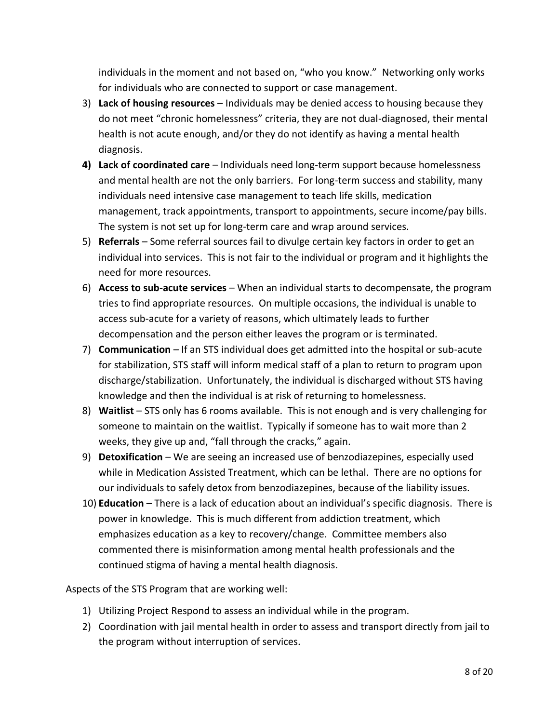individuals in the moment and not based on, "who you know." Networking only works for individuals who are connected to support or case management.

- 3) **Lack of housing resources** Individuals may be denied access to housing because they do not meet "chronic homelessness" criteria, they are not dual-diagnosed, their mental health is not acute enough, and/or they do not identify as having a mental health diagnosis.
- **4) Lack of coordinated care** Individuals need long-term support because homelessness and mental health are not the only barriers. For long-term success and stability, many individuals need intensive case management to teach life skills, medication management, track appointments, transport to appointments, secure income/pay bills. The system is not set up for long-term care and wrap around services.
- 5) **Referrals** Some referral sources fail to divulge certain key factors in order to get an individual into services. This is not fair to the individual or program and it highlights the need for more resources.
- 6) **Access to sub-acute services** When an individual starts to decompensate, the program tries to find appropriate resources. On multiple occasions, the individual is unable to access sub-acute for a variety of reasons, which ultimately leads to further decompensation and the person either leaves the program or is terminated.
- 7) **Communication** If an STS individual does get admitted into the hospital or sub-acute for stabilization, STS staff will inform medical staff of a plan to return to program upon discharge/stabilization. Unfortunately, the individual is discharged without STS having knowledge and then the individual is at risk of returning to homelessness.
- 8) **Waitlist** STS only has 6 rooms available. This is not enough and is very challenging for someone to maintain on the waitlist. Typically if someone has to wait more than 2 weeks, they give up and, "fall through the cracks," again.
- 9) **Detoxification** We are seeing an increased use of benzodiazepines, especially used while in Medication Assisted Treatment, which can be lethal. There are no options for our individuals to safely detox from benzodiazepines, because of the liability issues.
- 10) **Education** There is a lack of education about an individual's specific diagnosis. There is power in knowledge. This is much different from addiction treatment, which emphasizes education as a key to recovery/change. Committee members also commented there is misinformation among mental health professionals and the continued stigma of having a mental health diagnosis.

Aspects of the STS Program that are working well:

- 1) Utilizing Project Respond to assess an individual while in the program.
- 2) Coordination with jail mental health in order to assess and transport directly from jail to the program without interruption of services.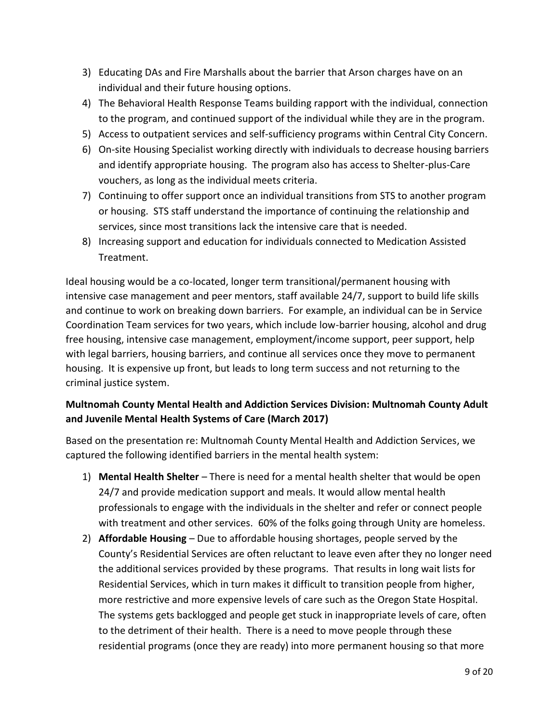- 3) Educating DAs and Fire Marshalls about the barrier that Arson charges have on an individual and their future housing options.
- 4) The Behavioral Health Response Teams building rapport with the individual, connection to the program, and continued support of the individual while they are in the program.
- 5) Access to outpatient services and self-sufficiency programs within Central City Concern.
- 6) On-site Housing Specialist working directly with individuals to decrease housing barriers and identify appropriate housing. The program also has access to Shelter-plus-Care vouchers, as long as the individual meets criteria.
- 7) Continuing to offer support once an individual transitions from STS to another program or housing. STS staff understand the importance of continuing the relationship and services, since most transitions lack the intensive care that is needed.
- 8) Increasing support and education for individuals connected to Medication Assisted Treatment.

Ideal housing would be a co-located, longer term transitional/permanent housing with intensive case management and peer mentors, staff available 24/7, support to build life skills and continue to work on breaking down barriers. For example, an individual can be in Service Coordination Team services for two years, which include low-barrier housing, alcohol and drug free housing, intensive case management, employment/income support, peer support, help with legal barriers, housing barriers, and continue all services once they move to permanent housing. It is expensive up front, but leads to long term success and not returning to the criminal justice system.

# **Multnomah County Mental Health and Addiction Services Division: Multnomah County Adult and Juvenile Mental Health Systems of Care (March 2017)**

Based on the presentation re: Multnomah County Mental Health and Addiction Services, we captured the following identified barriers in the mental health system:

- 1) **Mental Health Shelter** There is need for a mental health shelter that would be open 24/7 and provide medication support and meals. It would allow mental health professionals to engage with the individuals in the shelter and refer or connect people with treatment and other services. 60% of the folks going through Unity are homeless.
- 2) **Affordable Housing**  Due to affordable housing shortages, people served by the County's Residential Services are often reluctant to leave even after they no longer need the additional services provided by these programs. That results in long wait lists for Residential Services, which in turn makes it difficult to transition people from higher, more restrictive and more expensive levels of care such as the Oregon State Hospital. The systems gets backlogged and people get stuck in inappropriate levels of care, often to the detriment of their health. There is a need to move people through these residential programs (once they are ready) into more permanent housing so that more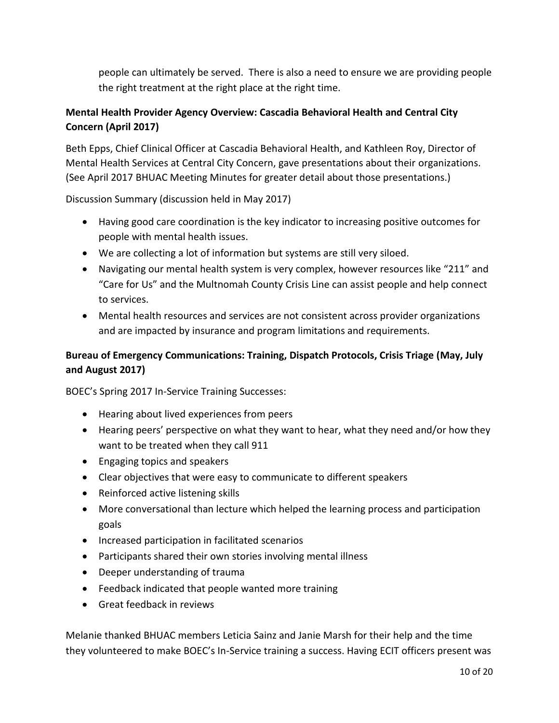people can ultimately be served. There is also a need to ensure we are providing people the right treatment at the right place at the right time.

## **Mental Health Provider Agency Overview: Cascadia Behavioral Health and Central City Concern (April 2017)**

Beth Epps, Chief Clinical Officer at Cascadia Behavioral Health, and Kathleen Roy, Director of Mental Health Services at Central City Concern, gave presentations about their organizations. (See April 2017 BHUAC Meeting Minutes for greater detail about those presentations.)

Discussion Summary (discussion held in May 2017)

- Having good care coordination is the key indicator to increasing positive outcomes for people with mental health issues.
- We are collecting a lot of information but systems are still very siloed.
- Navigating our mental health system is very complex, however resources like "211" and "Care for Us" and the Multnomah County Crisis Line can assist people and help connect to services.
- Mental health resources and services are not consistent across provider organizations and are impacted by insurance and program limitations and requirements.

### **Bureau of Emergency Communications: Training, Dispatch Protocols, Crisis Triage (May, July and August 2017)**

BOEC's Spring 2017 In-Service Training Successes:

- Hearing about lived experiences from peers
- Hearing peers' perspective on what they want to hear, what they need and/or how they want to be treated when they call 911
- Engaging topics and speakers
- Clear objectives that were easy to communicate to different speakers
- Reinforced active listening skills
- More conversational than lecture which helped the learning process and participation goals
- Increased participation in facilitated scenarios
- Participants shared their own stories involving mental illness
- Deeper understanding of trauma
- Feedback indicated that people wanted more training
- Great feedback in reviews

Melanie thanked BHUAC members Leticia Sainz and Janie Marsh for their help and the time they volunteered to make BOEC's In-Service training a success. Having ECIT officers present was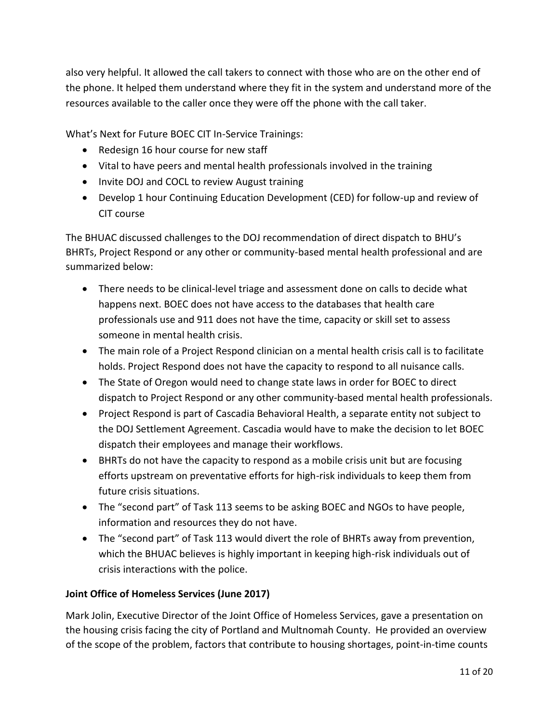also very helpful. It allowed the call takers to connect with those who are on the other end of the phone. It helped them understand where they fit in the system and understand more of the resources available to the caller once they were off the phone with the call taker.

What's Next for Future BOEC CIT In-Service Trainings:

- Redesign 16 hour course for new staff
- Vital to have peers and mental health professionals involved in the training
- Invite DOJ and COCL to review August training
- Develop 1 hour Continuing Education Development (CED) for follow-up and review of CIT course

The BHUAC discussed challenges to the DOJ recommendation of direct dispatch to BHU's BHRTs, Project Respond or any other or community-based mental health professional and are summarized below:

- There needs to be clinical-level triage and assessment done on calls to decide what happens next. BOEC does not have access to the databases that health care professionals use and 911 does not have the time, capacity or skill set to assess someone in mental health crisis.
- The main role of a Project Respond clinician on a mental health crisis call is to facilitate holds. Project Respond does not have the capacity to respond to all nuisance calls.
- The State of Oregon would need to change state laws in order for BOEC to direct dispatch to Project Respond or any other community-based mental health professionals.
- Project Respond is part of Cascadia Behavioral Health, a separate entity not subject to the DOJ Settlement Agreement. Cascadia would have to make the decision to let BOEC dispatch their employees and manage their workflows.
- BHRTs do not have the capacity to respond as a mobile crisis unit but are focusing efforts upstream on preventative efforts for high-risk individuals to keep them from future crisis situations.
- The "second part" of Task 113 seems to be asking BOEC and NGOs to have people, information and resources they do not have.
- The "second part" of Task 113 would divert the role of BHRTs away from prevention, which the BHUAC believes is highly important in keeping high-risk individuals out of crisis interactions with the police.

# **Joint Office of Homeless Services (June 2017)**

Mark Jolin, Executive Director of the Joint Office of Homeless Services, gave a presentation on the housing crisis facing the city of Portland and Multnomah County. He provided an overview of the scope of the problem, factors that contribute to housing shortages, point-in-time counts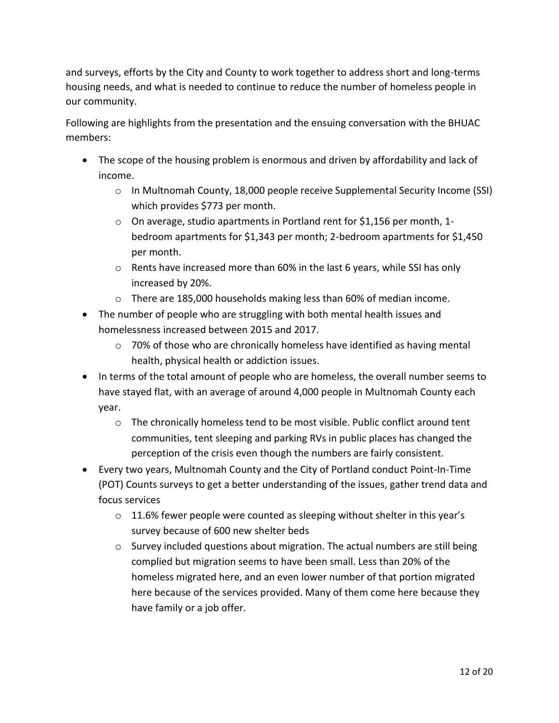and surveys, efforts by the City and County to work together to address short and long-terms housing needs, and what is needed to continue to reduce the number of homeless people in our community.

Following are highlights from the presentation and the ensuing conversation with the BHUAC members:

- The scope of the housing problem is enormous and driven by affordability and lack of income.
	- o In Multnomah County, 18,000 people receive Supplemental Security Income (SSI) which provides \$773 per month.
	- o On average, studio apartments in Portland rent for \$1,156 per month, 1 bedroom apartments for \$1,343 per month; 2-bedroom apartments for \$1,450 per month.
	- $\circ$  Rents have increased more than 60% in the last 6 years, while SSI has only increased by 20%.
	- $\circ$  There are 185,000 households making less than 60% of median income.
- The number of people who are struggling with both mental health issues and homelessness increased between 2015 and 2017.
	- $\circ$  70% of those who are chronically homeless have identified as having mental health, physical health or addiction issues.
- In terms of the total amount of people who are homeless, the overall number seems to have stayed flat, with an average of around 4,000 people in Multnomah County each year.
	- $\circ$  The chronically homeless tend to be most visible. Public conflict around tent communities, tent sleeping and parking RVs in public places has changed the perception of the crisis even though the numbers are fairly consistent.
- Every two years, Multnomah County and the City of Portland conduct Point-In-Time (POT) Counts surveys to get a better understanding of the issues, gather trend data and focus services
	- $\circ$  11.6% fewer people were counted as sleeping without shelter in this year's survey because of 600 new shelter beds
	- $\circ$  Survey included questions about migration. The actual numbers are still being complied but migration seems to have been small. Less than 20% of the homeless migrated here, and an even lower number of that portion migrated here because of the services provided. Many of them come here because they have family or a job offer.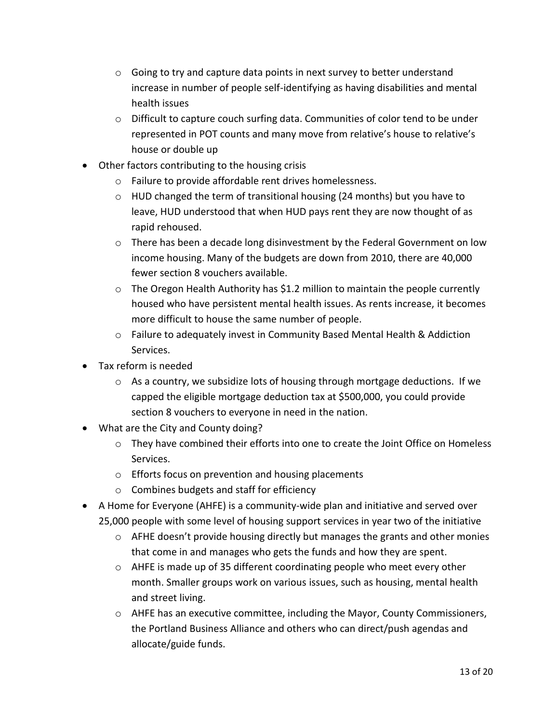- o Going to try and capture data points in next survey to better understand increase in number of people self-identifying as having disabilities and mental health issues
- o Difficult to capture couch surfing data. Communities of color tend to be under represented in POT counts and many move from relative's house to relative's house or double up
- Other factors contributing to the housing crisis
	- o Failure to provide affordable rent drives homelessness.
	- $\circ$  HUD changed the term of transitional housing (24 months) but you have to leave, HUD understood that when HUD pays rent they are now thought of as rapid rehoused.
	- $\circ$  There has been a decade long disinvestment by the Federal Government on low income housing. Many of the budgets are down from 2010, there are 40,000 fewer section 8 vouchers available.
	- $\circ$  The Oregon Health Authority has \$1.2 million to maintain the people currently housed who have persistent mental health issues. As rents increase, it becomes more difficult to house the same number of people.
	- o Failure to adequately invest in Community Based Mental Health & Addiction Services.
- Tax reform is needed
	- o As a country, we subsidize lots of housing through mortgage deductions. If we capped the eligible mortgage deduction tax at \$500,000, you could provide section 8 vouchers to everyone in need in the nation.
- What are the City and County doing?
	- o They have combined their efforts into one to create the Joint Office on Homeless Services.
	- o Efforts focus on prevention and housing placements
	- o Combines budgets and staff for efficiency
- A Home for Everyone (AHFE) is a community-wide plan and initiative and served over 25,000 people with some level of housing support services in year two of the initiative
	- o AFHE doesn't provide housing directly but manages the grants and other monies that come in and manages who gets the funds and how they are spent.
	- o AHFE is made up of 35 different coordinating people who meet every other month. Smaller groups work on various issues, such as housing, mental health and street living.
	- $\circ$  AHFE has an executive committee, including the Mayor, County Commissioners, the Portland Business Alliance and others who can direct/push agendas and allocate/guide funds.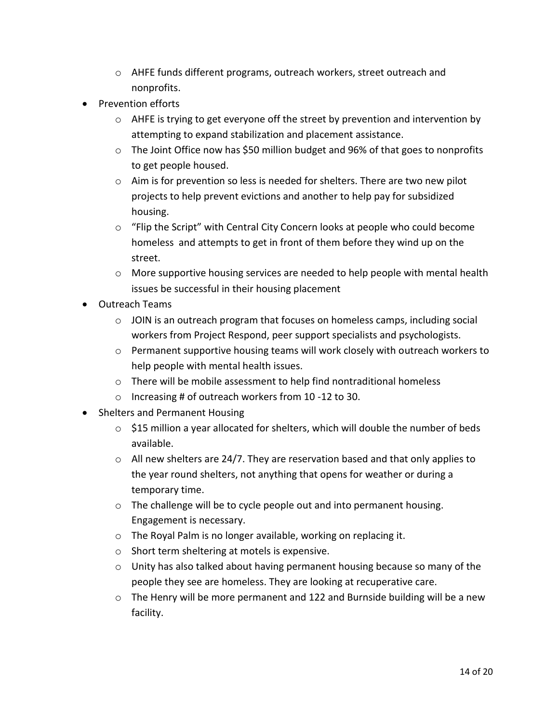- o AHFE funds different programs, outreach workers, street outreach and nonprofits.
- Prevention efforts
	- $\circ$  AHFE is trying to get everyone off the street by prevention and intervention by attempting to expand stabilization and placement assistance.
	- o The Joint Office now has \$50 million budget and 96% of that goes to nonprofits to get people housed.
	- o Aim is for prevention so less is needed for shelters. There are two new pilot projects to help prevent evictions and another to help pay for subsidized housing.
	- o "Flip the Script" with Central City Concern looks at people who could become homeless and attempts to get in front of them before they wind up on the street.
	- $\circ$  More supportive housing services are needed to help people with mental health issues be successful in their housing placement
- Outreach Teams
	- $\circ$  JOIN is an outreach program that focuses on homeless camps, including social workers from Project Respond, peer support specialists and psychologists.
	- $\circ$  Permanent supportive housing teams will work closely with outreach workers to help people with mental health issues.
	- o There will be mobile assessment to help find nontraditional homeless
	- o Increasing # of outreach workers from 10 -12 to 30.
- Shelters and Permanent Housing
	- $\circ$  \$15 million a year allocated for shelters, which will double the number of beds available.
	- $\circ$  All new shelters are 24/7. They are reservation based and that only applies to the year round shelters, not anything that opens for weather or during a temporary time.
	- o The challenge will be to cycle people out and into permanent housing. Engagement is necessary.
	- o The Royal Palm is no longer available, working on replacing it.
	- o Short term sheltering at motels is expensive.
	- o Unity has also talked about having permanent housing because so many of the people they see are homeless. They are looking at recuperative care.
	- o The Henry will be more permanent and 122 and Burnside building will be a new facility.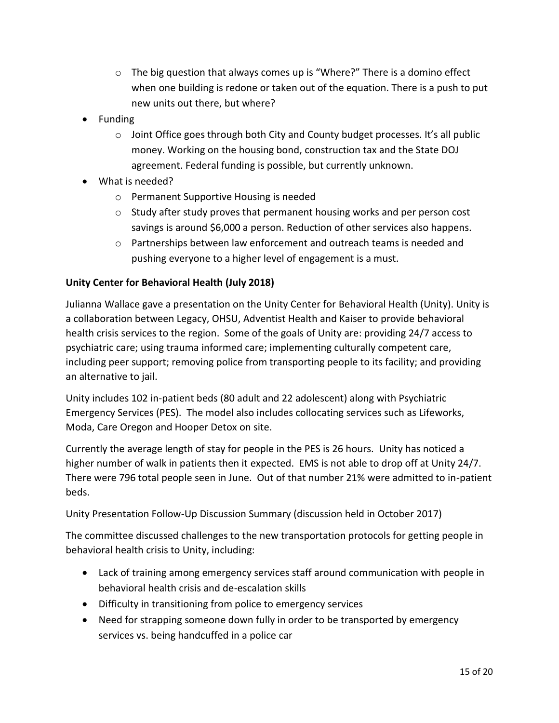- $\circ$  The big question that always comes up is "Where?" There is a domino effect when one building is redone or taken out of the equation. There is a push to put new units out there, but where?
- Funding
	- o Joint Office goes through both City and County budget processes. It's all public money. Working on the housing bond, construction tax and the State DOJ agreement. Federal funding is possible, but currently unknown.
- What is needed?
	- o Permanent Supportive Housing is needed
	- $\circ$  Study after study proves that permanent housing works and per person cost savings is around \$6,000 a person. Reduction of other services also happens.
	- $\circ$  Partnerships between law enforcement and outreach teams is needed and pushing everyone to a higher level of engagement is a must.

### **Unity Center for Behavioral Health (July 2018)**

Julianna Wallace gave a presentation on the Unity Center for Behavioral Health (Unity). Unity is a collaboration between Legacy, OHSU, Adventist Health and Kaiser to provide behavioral health crisis services to the region. Some of the goals of Unity are: providing 24/7 access to psychiatric care; using trauma informed care; implementing culturally competent care, including peer support; removing police from transporting people to its facility; and providing an alternative to jail.

Unity includes 102 in-patient beds (80 adult and 22 adolescent) along with Psychiatric Emergency Services (PES). The model also includes collocating services such as Lifeworks, Moda, Care Oregon and Hooper Detox on site.

Currently the average length of stay for people in the PES is 26 hours. Unity has noticed a higher number of walk in patients then it expected. EMS is not able to drop off at Unity 24/7. There were 796 total people seen in June. Out of that number 21% were admitted to in-patient beds.

Unity Presentation Follow-Up Discussion Summary (discussion held in October 2017)

The committee discussed challenges to the new transportation protocols for getting people in behavioral health crisis to Unity, including:

- Lack of training among emergency services staff around communication with people in behavioral health crisis and de-escalation skills
- Difficulty in transitioning from police to emergency services
- Need for strapping someone down fully in order to be transported by emergency services vs. being handcuffed in a police car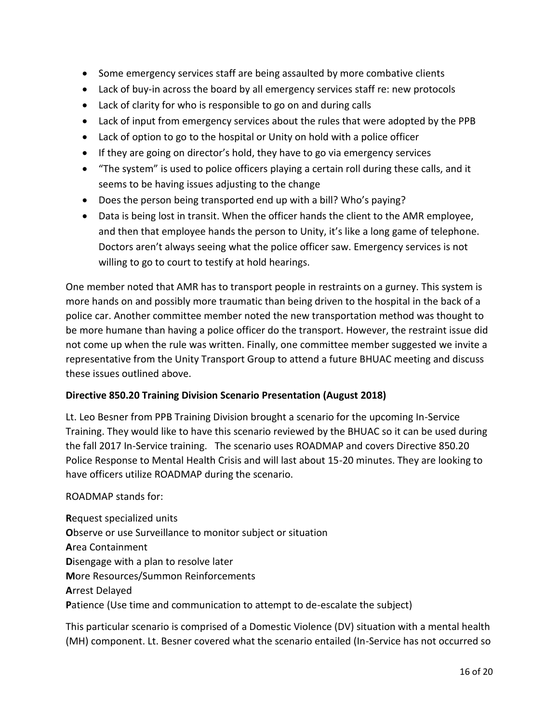- Some emergency services staff are being assaulted by more combative clients
- Lack of buy-in across the board by all emergency services staff re: new protocols
- Lack of clarity for who is responsible to go on and during calls
- Lack of input from emergency services about the rules that were adopted by the PPB
- Lack of option to go to the hospital or Unity on hold with a police officer
- If they are going on director's hold, they have to go via emergency services
- "The system" is used to police officers playing a certain roll during these calls, and it seems to be having issues adjusting to the change
- Does the person being transported end up with a bill? Who's paying?
- Data is being lost in transit. When the officer hands the client to the AMR employee, and then that employee hands the person to Unity, it's like a long game of telephone. Doctors aren't always seeing what the police officer saw. Emergency services is not willing to go to court to testify at hold hearings.

One member noted that AMR has to transport people in restraints on a gurney. This system is more hands on and possibly more traumatic than being driven to the hospital in the back of a police car. Another committee member noted the new transportation method was thought to be more humane than having a police officer do the transport. However, the restraint issue did not come up when the rule was written. Finally, one committee member suggested we invite a representative from the Unity Transport Group to attend a future BHUAC meeting and discuss these issues outlined above.

### **Directive 850.20 Training Division Scenario Presentation (August 2018)**

Lt. Leo Besner from PPB Training Division brought a scenario for the upcoming In-Service Training. They would like to have this scenario reviewed by the BHUAC so it can be used during the fall 2017 In-Service training. The scenario uses ROADMAP and covers Directive 850.20 Police Response to Mental Health Crisis and will last about 15-20 minutes. They are looking to have officers utilize ROADMAP during the scenario.

### ROADMAP stands for:

**R**equest specialized units **O**bserve or use Surveillance to monitor subject or situation **A**rea Containment **D**isengage with a plan to resolve later **M**ore Resources/Summon Reinforcements **A**rrest Delayed **P**atience (Use time and communication to attempt to de-escalate the subject)

This particular scenario is comprised of a Domestic Violence (DV) situation with a mental health (MH) component. Lt. Besner covered what the scenario entailed (In-Service has not occurred so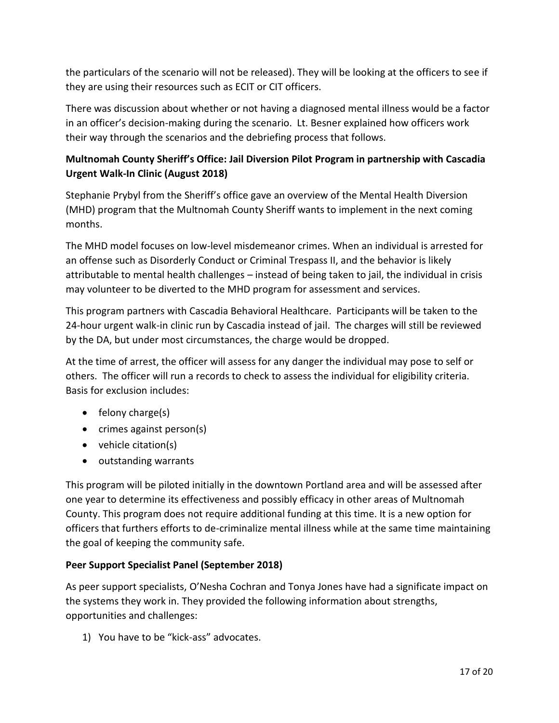the particulars of the scenario will not be released). They will be looking at the officers to see if they are using their resources such as ECIT or CIT officers.

There was discussion about whether or not having a diagnosed mental illness would be a factor in an officer's decision-making during the scenario. Lt. Besner explained how officers work their way through the scenarios and the debriefing process that follows.

# **Multnomah County Sheriff's Office: Jail Diversion Pilot Program in partnership with Cascadia Urgent Walk-In Clinic (August 2018)**

Stephanie Prybyl from the Sheriff's office gave an overview of the Mental Health Diversion (MHD) program that the Multnomah County Sheriff wants to implement in the next coming months.

The MHD model focuses on low-level misdemeanor crimes. When an individual is arrested for an offense such as Disorderly Conduct or Criminal Trespass II, and the behavior is likely attributable to mental health challenges – instead of being taken to jail, the individual in crisis may volunteer to be diverted to the MHD program for assessment and services.

This program partners with Cascadia Behavioral Healthcare. Participants will be taken to the 24-hour urgent walk-in clinic run by Cascadia instead of jail. The charges will still be reviewed by the DA, but under most circumstances, the charge would be dropped.

At the time of arrest, the officer will assess for any danger the individual may pose to self or others. The officer will run a records to check to assess the individual for eligibility criteria. Basis for exclusion includes:

- $\bullet$  felony charge(s)
- crimes against person(s)
- vehicle citation(s)
- outstanding warrants

This program will be piloted initially in the downtown Portland area and will be assessed after one year to determine its effectiveness and possibly efficacy in other areas of Multnomah County. This program does not require additional funding at this time. It is a new option for officers that furthers efforts to de-criminalize mental illness while at the same time maintaining the goal of keeping the community safe.

# **Peer Support Specialist Panel (September 2018)**

As peer support specialists, O'Nesha Cochran and Tonya Jones have had a significate impact on the systems they work in. They provided the following information about strengths, opportunities and challenges:

1) You have to be "kick-ass" advocates.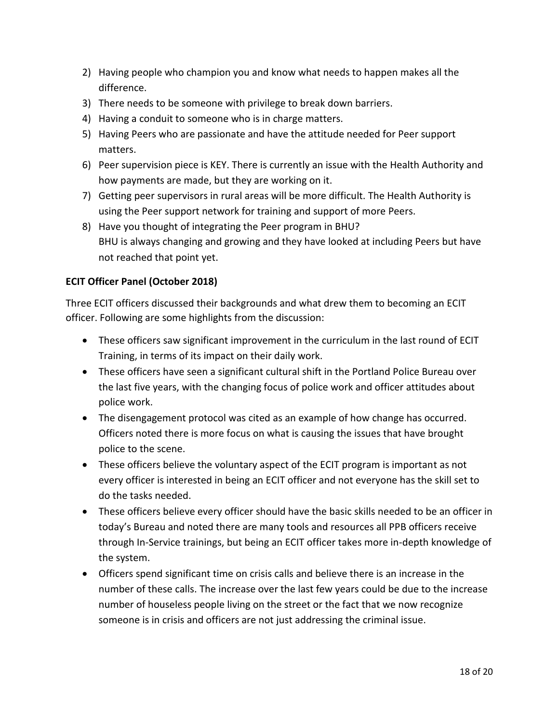- 2) Having people who champion you and know what needs to happen makes all the difference.
- 3) There needs to be someone with privilege to break down barriers.
- 4) Having a conduit to someone who is in charge matters.
- 5) Having Peers who are passionate and have the attitude needed for Peer support matters.
- 6) Peer supervision piece is KEY. There is currently an issue with the Health Authority and how payments are made, but they are working on it.
- 7) Getting peer supervisors in rural areas will be more difficult. The Health Authority is using the Peer support network for training and support of more Peers.
- 8) Have you thought of integrating the Peer program in BHU? BHU is always changing and growing and they have looked at including Peers but have not reached that point yet.

## **ECIT Officer Panel (October 2018)**

Three ECIT officers discussed their backgrounds and what drew them to becoming an ECIT officer. Following are some highlights from the discussion:

- These officers saw significant improvement in the curriculum in the last round of ECIT Training, in terms of its impact on their daily work.
- These officers have seen a significant cultural shift in the Portland Police Bureau over the last five years, with the changing focus of police work and officer attitudes about police work.
- The disengagement protocol was cited as an example of how change has occurred. Officers noted there is more focus on what is causing the issues that have brought police to the scene.
- These officers believe the voluntary aspect of the ECIT program is important as not every officer is interested in being an ECIT officer and not everyone has the skill set to do the tasks needed.
- These officers believe every officer should have the basic skills needed to be an officer in today's Bureau and noted there are many tools and resources all PPB officers receive through In-Service trainings, but being an ECIT officer takes more in-depth knowledge of the system.
- Officers spend significant time on crisis calls and believe there is an increase in the number of these calls. The increase over the last few years could be due to the increase number of houseless people living on the street or the fact that we now recognize someone is in crisis and officers are not just addressing the criminal issue.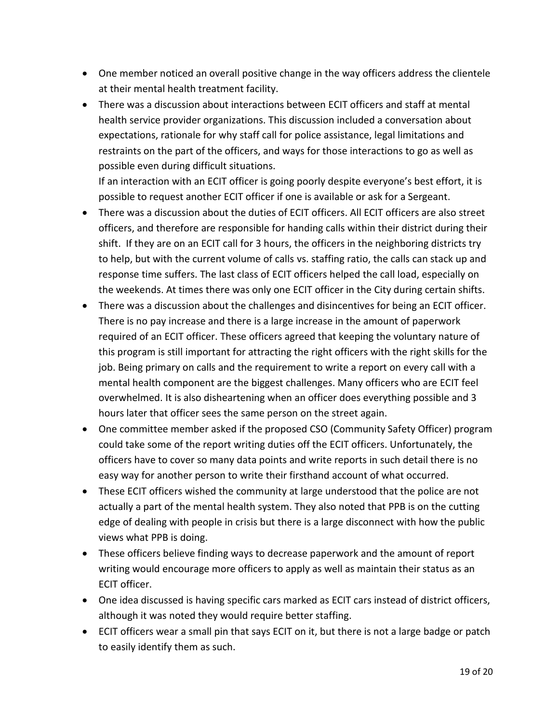- One member noticed an overall positive change in the way officers address the clientele at their mental health treatment facility.
- There was a discussion about interactions between ECIT officers and staff at mental health service provider organizations. This discussion included a conversation about expectations, rationale for why staff call for police assistance, legal limitations and restraints on the part of the officers, and ways for those interactions to go as well as possible even during difficult situations.

If an interaction with an ECIT officer is going poorly despite everyone's best effort, it is possible to request another ECIT officer if one is available or ask for a Sergeant.

- There was a discussion about the duties of ECIT officers. All ECIT officers are also street officers, and therefore are responsible for handing calls within their district during their shift. If they are on an ECIT call for 3 hours, the officers in the neighboring districts try to help, but with the current volume of calls vs. staffing ratio, the calls can stack up and response time suffers. The last class of ECIT officers helped the call load, especially on the weekends. At times there was only one ECIT officer in the City during certain shifts.
- There was a discussion about the challenges and disincentives for being an ECIT officer. There is no pay increase and there is a large increase in the amount of paperwork required of an ECIT officer. These officers agreed that keeping the voluntary nature of this program is still important for attracting the right officers with the right skills for the job. Being primary on calls and the requirement to write a report on every call with a mental health component are the biggest challenges. Many officers who are ECIT feel overwhelmed. It is also disheartening when an officer does everything possible and 3 hours later that officer sees the same person on the street again.
- One committee member asked if the proposed CSO (Community Safety Officer) program could take some of the report writing duties off the ECIT officers. Unfortunately, the officers have to cover so many data points and write reports in such detail there is no easy way for another person to write their firsthand account of what occurred.
- These ECIT officers wished the community at large understood that the police are not actually a part of the mental health system. They also noted that PPB is on the cutting edge of dealing with people in crisis but there is a large disconnect with how the public views what PPB is doing.
- These officers believe finding ways to decrease paperwork and the amount of report writing would encourage more officers to apply as well as maintain their status as an ECIT officer.
- One idea discussed is having specific cars marked as ECIT cars instead of district officers, although it was noted they would require better staffing.
- ECIT officers wear a small pin that says ECIT on it, but there is not a large badge or patch to easily identify them as such.